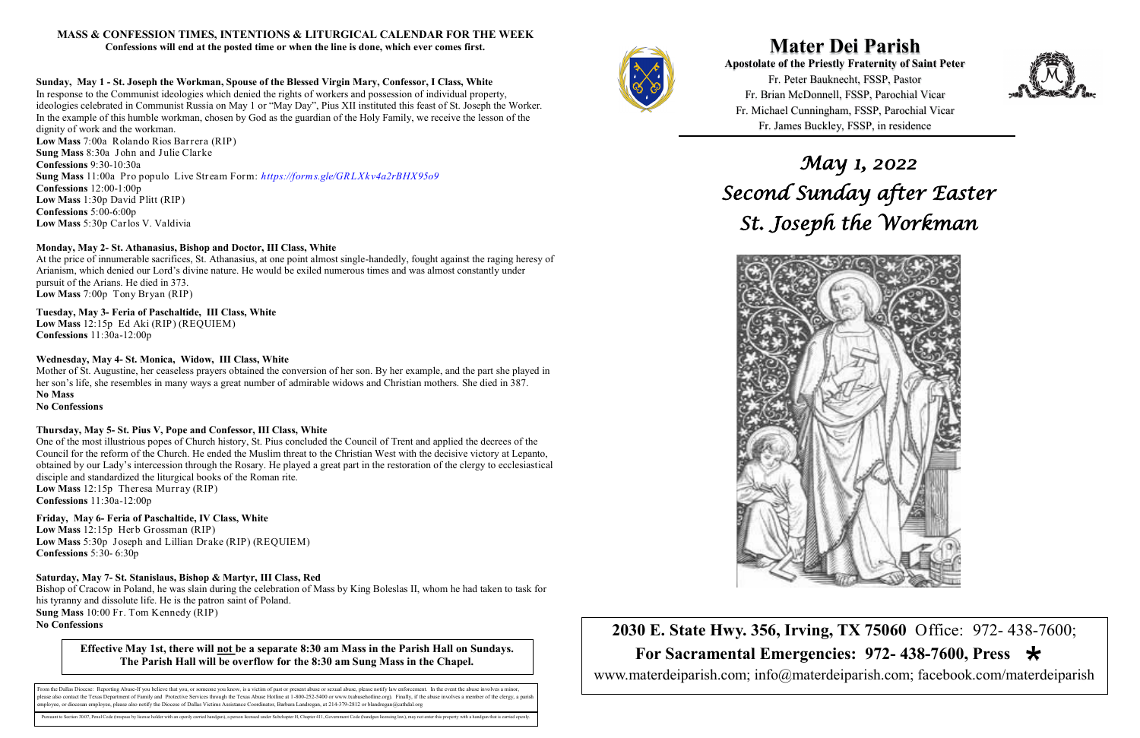**Mater Dei Parish Apostolate of the Priestly Fraternity of Saint Peter**  Fr. Peter Bauknecht, FSSP, Pastor Fr. Brian McDonnell, FSSP, Parochial Vicar Fr. Michael Cunningham, FSSP, Parochial Vicar Fr. James Buckley, FSSP, in residence

**2030 E. State Hwy. 356, Irving, TX 75060** Office: 972- 438-7600;  **For Sacramental Emergencies: 972- 438-7600, Press**  www.materdeiparish.com; info@materdeiparish.com; facebook.com/materdeiparish



# **MASS & CONFESSION TIMES, INTENTIONS & LITURGICAL CALENDAR FOR THE WEEK**

**Confessions will end at the posted time or when the line is done, which ever comes first.**

### **Sunday, May 1 - St. Joseph the Workman, Spouse of the Blessed Virgin Mary, Confessor, I Class, White**

In response to the Communist ideologies which denied the rights of workers and possession of individual property, ideologies celebrated in Communist Russia on May 1 or "May Day", Pius XII instituted this feast of St. Joseph the Worker. In the example of this humble workman, chosen by God as the guardian of the Holy Family, we receive the lesson of the dignity of work and the workman. **Low Mass** 7:00a Rolando Rios Barrera (RIP)

**Sung Mass** 8:30a John and Julie Clarke **Confessions** 9:30-10:30a **Sung Mass** 11:00a Pro populo Live Stream Form: *https://forms.gle/GRLXkv4a2rBHX95o9* **Confessions** 12:00-1:00p **Low Mass** 1:30p David Plitt (RIP) **Confessions** 5:00-6:00p **Low Mass** 5:30p Carlos V. Valdivia

# **Monday, May 2- St. Athanasius, Bishop and Doctor, III Class, White**

At the price of innumerable sacrifices, St. Athanasius, at one point almost single-handedly, fought against the raging heresy of Arianism, which denied our Lord's divine nature. He would be exiled numerous times and was almost constantly under pursuit of the Arians. He died in 373. **Low Mass** 7:00p Tony Bryan (RIP)

# **Tuesday, May 3- Feria of Paschaltide, III Class, White**

From the Dallas Diocese: Reporting Abuse-If you believe that you, or someone you know, is a victim of past or present abuse or sexual abuse, please notify law enforcement. In the event the abuse involves a minor, lease also contact the Texas Department of Family and Protective Services through the Texas Abuse Hotline at 1-800-252-5400 or www.txabusehotline.org). Finally, if the abuse involves a member of the clergy, a parishine. employee, or diocesan employee, please also notify the Diocese of Dallas Victims Assistance Coordinator, Barbara Landregan, at 214-379-2812 or blandregan@cathdal.org

aant to Section 30.07, Penal Code (trespass by license holder with an openly carried handgun), a person licensed under Subchapter H, Chapter 411, Government Code (handgun licensing law), may not enter this property with a



**Low Mass** 12:15p Ed Aki (RIP) (REQUIEM) **Confessions** 11:30a-12:00p

# **Wednesday, May 4- St. Monica, Widow, III Class, White**

Mother of St. Augustine, her ceaseless prayers obtained the conversion of her son. By her example, and the part she played in her son's life, she resembles in many ways a great number of admirable widows and Christian mothers. She died in 387. **No Mass** 

# **No Confessions**

### **Thursday, May 5- St. Pius V, Pope and Confessor, III Class, White**

One of the most illustrious popes of Church history, St. Pius concluded the Council of Trent and applied the decrees of the Council for the reform of the Church. He ended the Muslim threat to the Christian West with the decisive victory at Lepanto, obtained by our Lady's intercession through the Rosary. He played a great part in the restoration of the clergy to ecclesiastical disciple and standardized the liturgical books of the Roman rite. **Low Mass** 12:15p Theresa Murray (RIP)

**Confessions** 11:30a-12:00p

**Friday, May 6- Feria of Paschaltide, IV Class, White Low Mass** 12:15p Herb Grossman (RIP) **Low Mass** 5:30p Joseph and Lillian Drake (RIP) (REQUIEM) **Confessions** 5:30- 6:30p

**Saturday, May 7- St. Stanislaus, Bishop & Martyr, III Class, Red**

Bishop of Cracow in Poland, he was slain during the celebration of Mass by King Boleslas II, whom he had taken to task for his tyranny and dissolute life. He is the patron saint of Poland. **Sung Mass** 10:00 Fr. Tom Kennedy (RIP) **No Confessions**

*May 1, 2022 Second Sunday after Easter St. Joseph the Workman* 



**Effective May 1st, there will not be a separate 8:30 am Mass in the Parish Hall on Sundays. The Parish Hall will be overflow for the 8:30 am Sung Mass in the Chapel.**